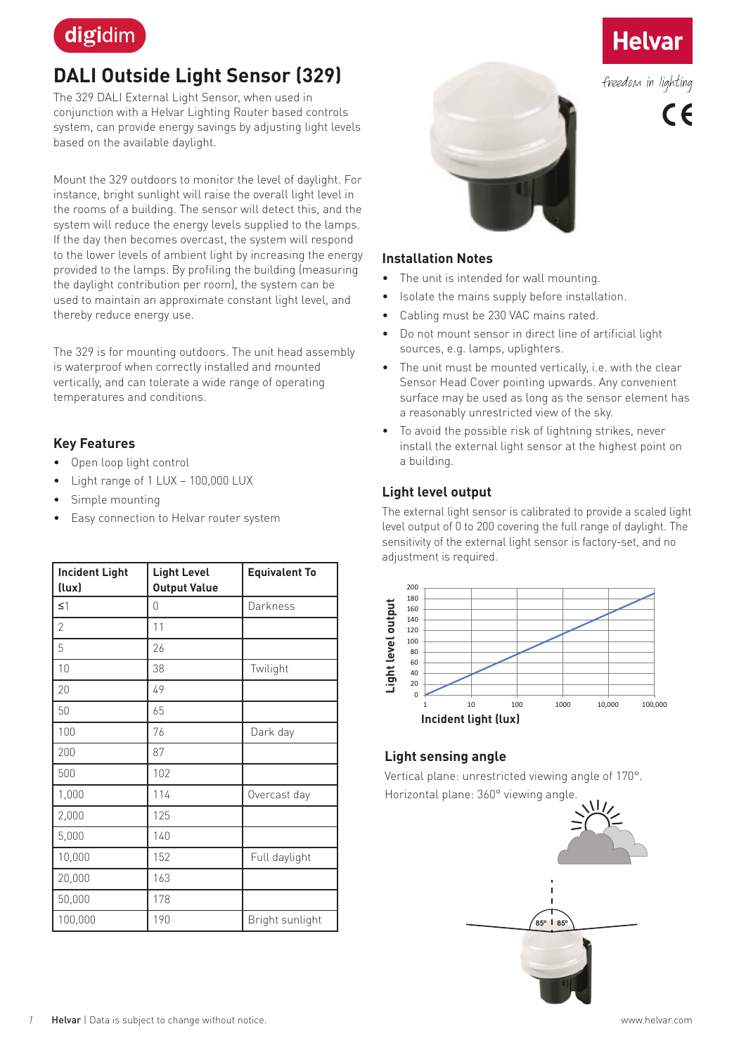

# **DALI Outside Light Sensor (329)**

The 329 DALI External Light Sensor, when used in conjunction with a Helvar Lighting Router based controls system, can provide energy savings by adjusting light levels based on the available daylight.

Mount the 329 outdoors to monitor the level of daylight. For instance, bright sunlight will raise the overall light level in the rooms of a building. The sensor will detect this, and the system will reduce the energy levels supplied to the lamps. If the day then becomes overcast, the system will respond to the lower levels of ambient light by increasing the energy provided to the lamps. By profiling the building (measuring the daylight contribution per room), the system can be used to maintain an approximate constant light level, and thereby reduce energy use.

The 329 is for mounting outdoors. The unit head assembly is waterproof when correctly installed and mounted vertically, and can tolerate a wide range of operating temperatures and conditions.

## **Key Features**

- Open loop light control
- Light range of 1 LUX 100,000 LUX
- Simple mounting
- Easy connection to Helvar router system

| <b>Incident Light</b><br>(lux) | <b>Light Level</b><br><b>Output Value</b> | <b>Equivalent To</b> |
|--------------------------------|-------------------------------------------|----------------------|
| $\leq$ $\uparrow$              | 0                                         | Darkness             |
| $\overline{2}$                 | 11                                        |                      |
| 5                              | 26                                        |                      |
| $10\,$                         | 38                                        | Twilight             |
| 20                             | 49                                        |                      |
| 50                             | 65                                        |                      |
| 100                            | 76                                        | Dark day             |
| 200                            | 87                                        |                      |
| 500                            | 102                                       |                      |
| 1,000                          | 114                                       | Overcast day         |
| 2,000                          | 125                                       |                      |
| 5,000                          | 140                                       |                      |
| 10,000                         | 152                                       | Full daylight        |
| 20,000                         | 163                                       |                      |
| 50,000                         | 178                                       |                      |
| 100,000                        | 190                                       | Bright sunlight      |



# Helva

freedom in lighting

 $c_{\mathcal{L}}$ 

#### **Installation Notes**

- The unit is intended for wall mounting.
- Isolate the mains supply before installation.
- Cabling must be 230 VAC mains rated.
- Do not mount sensor in direct line of artificial light sources, e.g. lamps, uplighters.
- The unit must be mounted vertically, i.e. with the clear Sensor Head Cover pointing upwards. Any convenient surface may be used as long as the sensor element has a reasonably unrestricted view of the sky.
- To avoid the possible risk of lightning strikes, never install the external light sensor at the highest point on a building.

## **Light level output**

The external light sensor is calibrated to provide a scaled light level output of 0 to 200 covering the full range of daylight. The sensitivity of the external light sensor is factory-set, and no adjustment is required.



## **Light sensing angle**

Vertical plane: unrestricted viewing angle of 170°. Horizontal plane: 360° viewing angle.